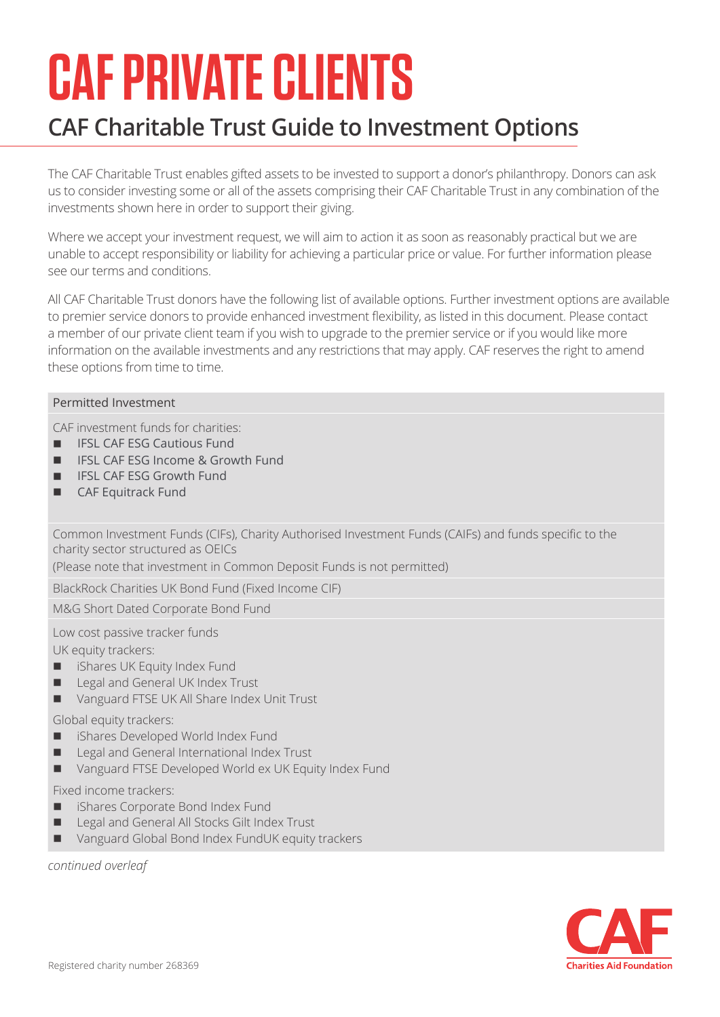# **CAF PRIVATE CLIENTS**

## **CAF Charitable Trust Guide to Investment Options**

The CAF Charitable Trust enables gifted assets to be invested to support a donor's philanthropy. Donors can ask us to consider investing some or all of the assets comprising their CAF Charitable Trust in any combination of the investments shown here in order to support their giving.

Where we accept your investment request, we will aim to action it as soon as reasonably practical but we are unable to accept responsibility or liability for achieving a particular price or value. For further information please see our terms and conditions.

All CAF Charitable Trust donors have the following list of available options. Further investment options are available to premier service donors to provide enhanced investment flexibility, as listed in this document. Please contact a member of our private client team if you wish to upgrade to the premier service or if you would like more information on the available investments and any restrictions that may apply. CAF reserves the right to amend these options from time to time.

#### Permitted Investment

CAF investment funds for charities:

- IFSL CAF ESG Cautious Fund
- n IFSL CAF ESG Income & Growth Fund
- n IFSL CAF ESG Growth Fund
- n CAF Equitrack Fund

Common Investment Funds (CIFs), Charity Authorised Investment Funds (CAIFs) and funds specific to the charity sector structured as OEICs

(Please note that investment in Common Deposit Funds is not permitted)

BlackRock Charities UK Bond Fund (Fixed Income CIF)

M&G Short Dated Corporate Bond Fund

Low cost passive tracker funds

UK equity trackers:

- **n** iShares UK Equity Index Fund
- Legal and General UK Index Trust
- Vanguard FTSE UK All Share Index Unit Trust

#### Global equity trackers:

- iShares Developed World Index Fund
- Legal and General International Index Trust
- Vanguard FTSE Developed World ex UK Equity Index Fund

#### Fixed income trackers:

- iShares Corporate Bond Index Fund
- Legal and General All Stocks Gilt Index Trust
- Vanguard Global Bond Index FundUK equity trackers

*continued overleaf*